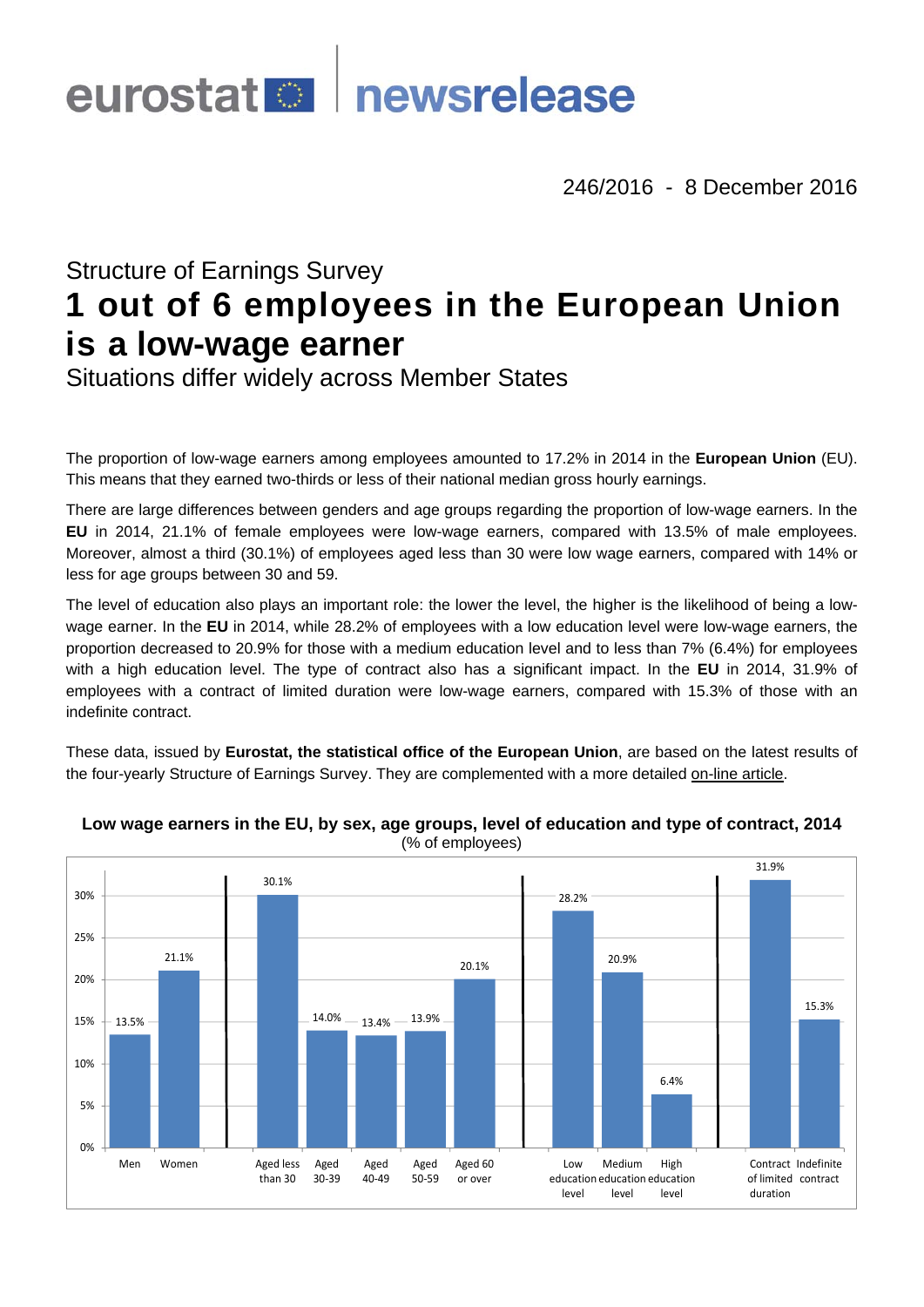# eurostat<sup>es</sup> newsrelease

246/2016 - 8 December 2016

# Structure of Earnings Survey **1 out of 6 employees in the European Union is a low-wage earner**

Situations differ widely across Member States

The proportion of low-wage earners among employees amounted to 17.2% in 2014 in the **European Union** (EU). This means that they earned two-thirds or less of their national median gross hourly earnings.

There are large differences between genders and age groups regarding the proportion of low-wage earners. In the **EU** in 2014, 21.1% of female employees were low-wage earners, compared with 13.5% of male employees. Moreover, almost a third (30.1%) of employees aged less than 30 were low wage earners, compared with 14% or less for age groups between 30 and 59.

The level of education also plays an important role: the lower the level, the higher is the likelihood of being a lowwage earner. In the **EU** in 2014, while 28.2% of employees with a low education level were low-wage earners, the proportion decreased to 20.9% for those with a medium education level and to less than 7% (6.4%) for employees with a high education level. The type of contract also has a significant impact. In the **EU** in 2014, 31.9% of employees with a contract of limited duration were low-wage earners, compared with 15.3% of those with an indefinite contract.

These data, issued by **Eurostat, the statistical office of the European Union**, are based on the latest results of the four-yearly Structure of Earnings Survey. They are complemented with a more detailed [on-line article](http://ec.europa.eu/eurostat/statistics-explained/index.php/Earnings_statistics).



## **Low wage earners in the EU, by sex, age groups, level of education and type of contract, 2014**  (% of employees)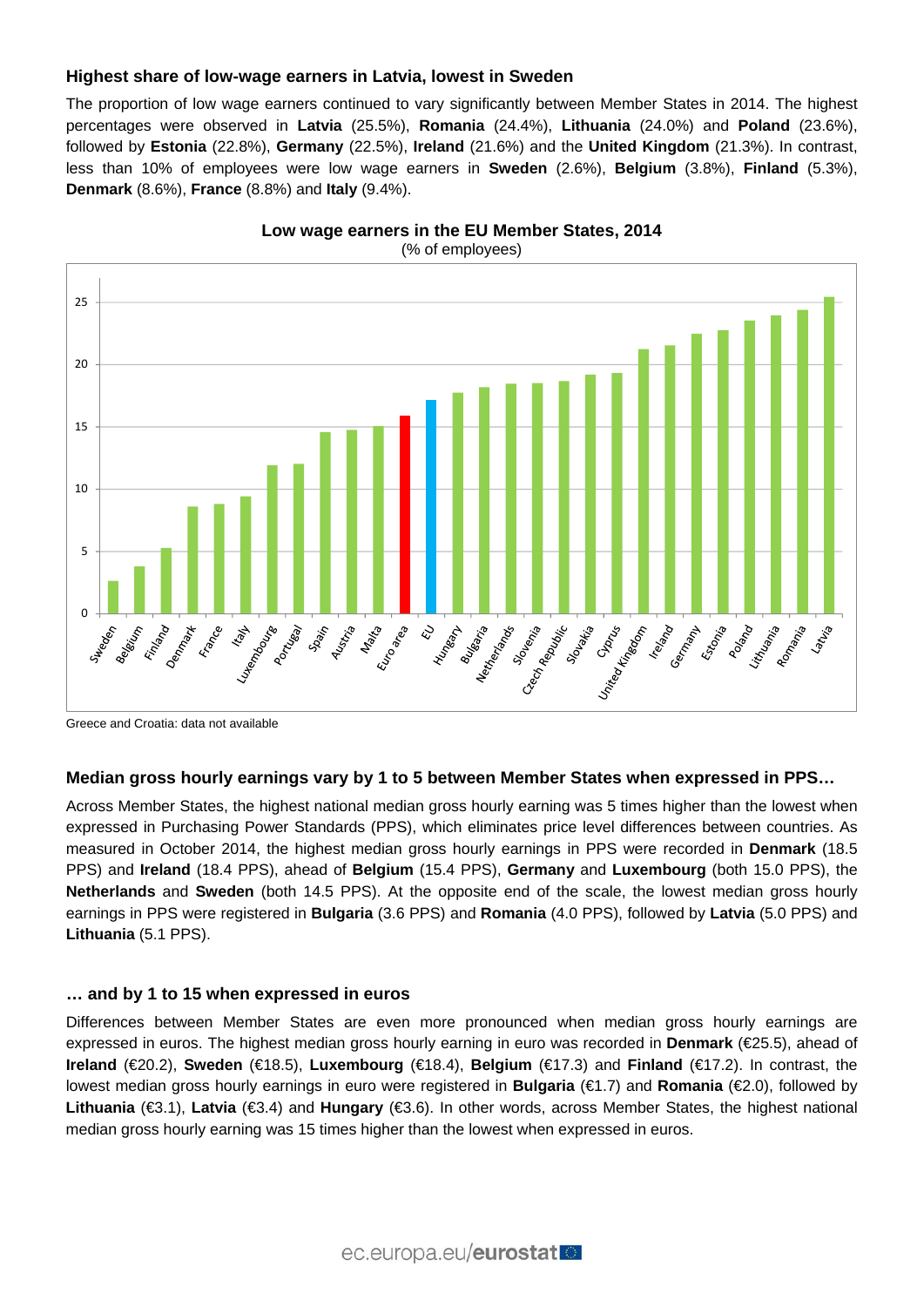# **Highest share of low-wage earners in Latvia, lowest in Sweden**

The proportion of low wage earners continued to vary significantly between Member States in 2014. The highest percentages were observed in **Latvia** (25.5%), **Romania** (24.4%), **Lithuania** (24.0%) and **Poland** (23.6%), followed by **Estonia** (22.8%), **Germany** (22.5%), **Ireland** (21.6%) and the **United Kingdom** (21.3%). In contrast, less than 10% of employees were low wage earners in **Sweden** (2.6%), **Belgium** (3.8%), **Finland** (5.3%), **Denmark** (8.6%), **France** (8.8%) and **Italy** (9.4%).



**Low wage earners in the EU Member States, 2014**  (% of employees)

Greece and Croatia: data not available

# **Median gross hourly earnings vary by 1 to 5 between Member States when expressed in PPS…**

Across Member States, the highest national median gross hourly earning was 5 times higher than the lowest when expressed in Purchasing Power Standards (PPS), which eliminates price level differences between countries. As measured in October 2014, the highest median gross hourly earnings in PPS were recorded in **Denmark** (18.5 PPS) and **Ireland** (18.4 PPS), ahead of **Belgium** (15.4 PPS), **Germany** and **Luxembourg** (both 15.0 PPS), the **Netherlands** and **Sweden** (both 14.5 PPS). At the opposite end of the scale, the lowest median gross hourly earnings in PPS were registered in **Bulgaria** (3.6 PPS) and **Romania** (4.0 PPS), followed by **Latvia** (5.0 PPS) and **Lithuania** (5.1 PPS).

#### **… and by 1 to 15 when expressed in euros**

Differences between Member States are even more pronounced when median gross hourly earnings are expressed in euros. The highest median gross hourly earning in euro was recorded in **Denmark** (€25.5), ahead of **Ireland** (€20.2), **Sweden** (€18.5), **Luxembourg** (€18.4), **Belgium** (€17.3) and **Finland** (€17.2). In contrast, the lowest median gross hourly earnings in euro were registered in **Bulgaria** (€1.7) and **Romania** (€2.0), followed by **Lithuania** (€3.1), **Latvia** (€3.4) and **Hungary** (€3.6). In other words, across Member States, the highest national median gross hourly earning was 15 times higher than the lowest when expressed in euros.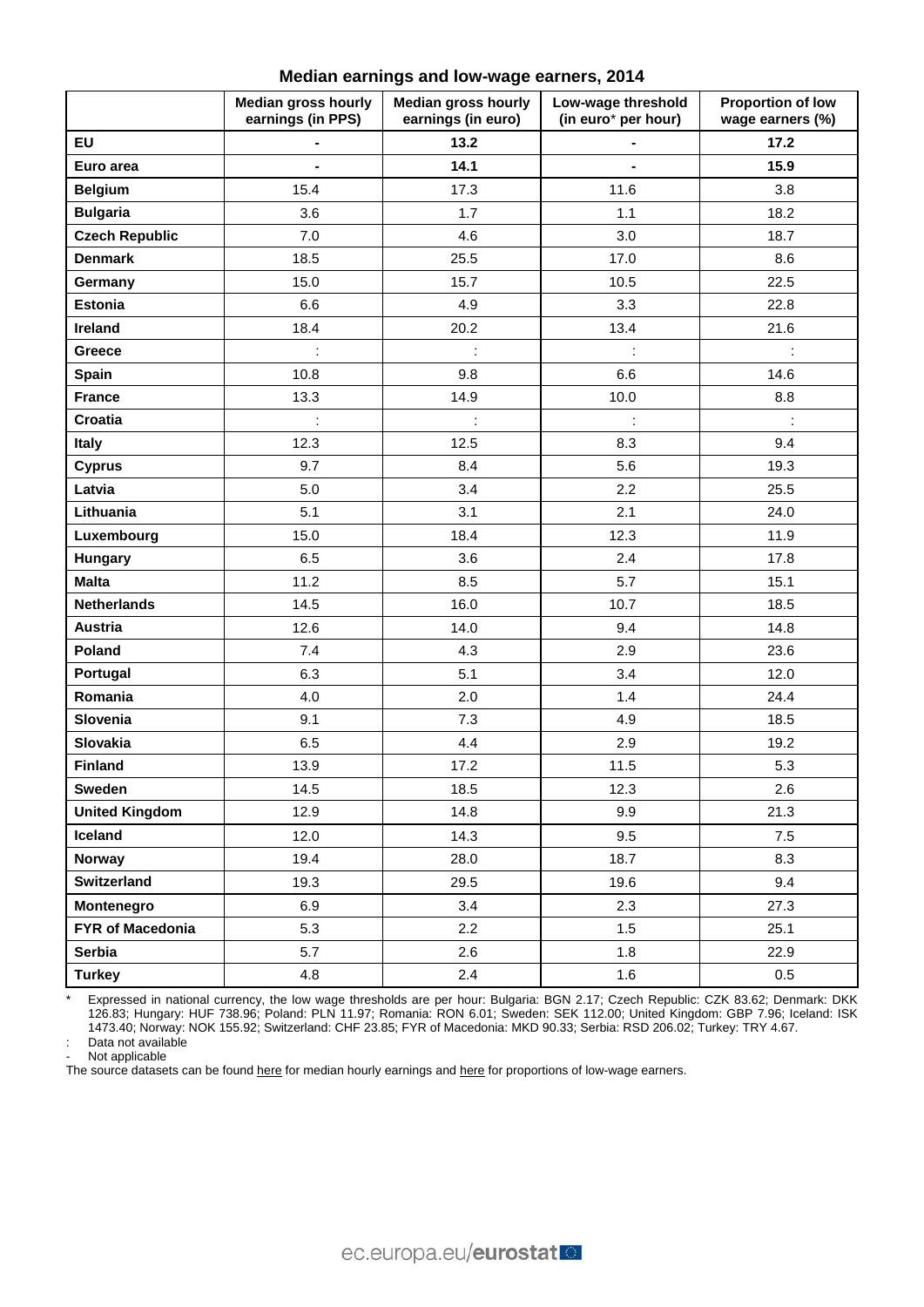**Median earnings and low-wage earners, 2014** 

|                       | <b>Median gross hourly</b><br>earnings (in PPS) | <b>Median gross hourly</b><br>earnings (in euro) | Low-wage threshold<br>(in euro* per hour) | <b>Proportion of low</b><br>wage earners (%) |
|-----------------------|-------------------------------------------------|--------------------------------------------------|-------------------------------------------|----------------------------------------------|
| <b>EU</b>             |                                                 | 13.2                                             |                                           | 17.2                                         |
| Euro area             | $\blacksquare$                                  | 14.1                                             | $\blacksquare$                            | 15.9                                         |
| <b>Belgium</b>        | 15.4                                            | 17.3                                             | 11.6                                      | 3.8                                          |
| <b>Bulgaria</b>       | 3.6                                             | 1.7                                              | 1.1                                       | 18.2                                         |
| <b>Czech Republic</b> | 7.0                                             | 4.6                                              | 3.0                                       | 18.7                                         |
| <b>Denmark</b>        | 18.5                                            | 25.5                                             | 17.0                                      | 8.6                                          |
| Germany               | 15.0                                            | 15.7                                             | 10.5                                      | 22.5                                         |
| <b>Estonia</b>        | 6.6                                             | 4.9                                              | 3.3                                       | 22.8                                         |
| Ireland               | 18.4                                            | 20.2                                             | 13.4                                      | 21.6                                         |
| Greece                | $\ddot{\phantom{a}}$                            | $\ddot{\phantom{a}}$                             | ÷                                         | ÷                                            |
| Spain                 | 10.8                                            | 9.8                                              | 6.6                                       | 14.6                                         |
| <b>France</b>         | 13.3                                            | 14.9                                             | 10.0                                      | 8.8                                          |
| Croatia               | ÷                                               | $\ddot{\phantom{a}}$                             | $\ddot{\phantom{a}}$                      | $\ddot{\phantom{a}}$                         |
| Italy                 | 12.3                                            | 12.5                                             | 8.3                                       | 9.4                                          |
| <b>Cyprus</b>         | 9.7                                             | 8.4                                              | 5.6                                       | 19.3                                         |
| Latvia                | 5.0                                             | 3.4                                              | 2.2                                       | 25.5                                         |
| Lithuania             | 5.1                                             | 3.1                                              | 2.1                                       | 24.0                                         |
| Luxembourg            | 15.0                                            | 18.4                                             | 12.3                                      | 11.9                                         |
| Hungary               | 6.5                                             | 3.6                                              | 2.4                                       | 17.8                                         |
| <b>Malta</b>          | 11.2                                            | 8.5                                              | 5.7                                       | 15.1                                         |
| <b>Netherlands</b>    | 14.5                                            | 16.0                                             | 10.7                                      | 18.5                                         |
| Austria               | 12.6                                            | 14.0                                             | 9.4                                       | 14.8                                         |
| Poland                | 7.4                                             | 4.3                                              | 2.9                                       | 23.6                                         |
| Portugal              | 6.3                                             | 5.1                                              | 3.4                                       | 12.0                                         |
| Romania               | 4.0                                             | 2.0                                              | 1.4                                       | 24.4                                         |
| Slovenia              | 9.1                                             | 7.3                                              | 4.9                                       | 18.5                                         |
| Slovakia              | 6.5                                             | 4.4                                              | 2.9                                       | 19.2                                         |
| <b>Finland</b>        | 13.9                                            | 17.2                                             | 11.5                                      | 5.3                                          |
| Sweden                | 14.5                                            | 18.5                                             | 12.3                                      | 2.6                                          |
| <b>United Kingdom</b> | 12.9                                            | 14.8                                             | 9.9                                       | 21.3                                         |
| Iceland               | 12.0                                            | 14.3                                             | 9.5                                       | 7.5                                          |
| Norway                | 19.4                                            | 28.0                                             | 18.7                                      | 8.3                                          |
| Switzerland           | 19.3                                            | 29.5                                             | 19.6                                      | 9.4                                          |
| Montenegro            | 6.9                                             | 3.4                                              | 2.3                                       | 27.3                                         |
| FYR of Macedonia      | 5.3                                             | 2.2                                              | 1.5                                       | 25.1                                         |
| Serbia                | 5.7                                             | 2.6                                              | 1.8                                       | 22.9                                         |
| <b>Turkey</b>         | 4.8                                             | 2.4                                              | 1.6                                       | 0.5                                          |

\* Expressed in national currency, the low wage thresholds are per hour: Bulgaria: BGN 2.17; Czech Republic: CZK 83.62; Denmark: DKK 126.83; Hungary: HUF 738.96; Poland: PLN 11.97; Romania: RON 6.01; Sweden: SEK 112.00; United Kingdom: GBP 7.96; Iceland: ISK 1473.40; Norway: NOK 155.92; Switzerland: CHF 23.85; FYR of Macedonia: MKD 90.33; Serbia: RSD 206.02; Turkey: TRY 4.67. : Data not available

Not applicable

The source datasets can be found [here](http://appsso.eurostat.ec.europa.eu/nui/show.do?query=BOOKMARK_DS-286393_QID_36498A33_UID_-3F171EB0&layout=CURRENCY,L,X,0;GEO,L,Y,0;SIZECLAS,L,Z,0;SEX,L,Z,1;TIME,C,Z,2;INDICATORS,C,Z,3;&zSelection=DS-286393SEX,T;DS-286393INDICATORS,OBS_FLAG;DS-286393TIME,2014;DS-286393SIZECLAS,GE10;&rankName1=INDICATORS_1_2_-1_2&rankName2=SEX_1_2_-1_2&rankName3=SIZECLAS_1_2_-1_2&rankName4=TIME_1_0_0_0&rankName5=CURRENCY_1_2_0_0&rankName6=GEO_1_2_0_1&rStp=&cStp=&rDCh=&cDCh=&rDM=true&cDM=true&footnes=false&empty=false&wai=false&time_mode=ROLLING&time_most_recent=true&lang=EN&cfo=%23%23%23%2C%23%23%23.%23%23%23) for median hourly earnings and [here](http://appsso.eurostat.ec.europa.eu/nui/show.do?query=BOOKMARK_DS-286381_QID_-67DEFB5_UID_-3F171EB0&layout=TIME,C,X,0;GEO,L,Y,0;UNIT,L,Z,0;SEX,L,Z,1;SIZECLAS,L,Z,2;INDICATORS,C,Z,3;&zSelection=DS-286381SIZECLAS,GE10;DS-286381INDICATORS,OBS_FLAG;DS-286381SEX,T;DS-286381UNIT,PC;&rankName1=UNIT_1_2_-1_2&rankName2=INDICATORS_1_2_-1_2&rankName3=SEX_1_2_-1_2&rankName4=SIZECLAS_1_2_-1_2&rankName5=TIME_1_0_0_0&rankName6=GEO_1_2_0_1&sortC=ASC_-1_FIRST&rStp=&cStp=&rDCh=&cDCh=&rDM=true&cDM=true&footnes=false&empty=false&wai=false&time_mode=ROLLING&time_most_recent=true&lang=EN&cfo=%23%23%23%2C%23%23%23.%23%23%23) for proportions of low-wage earners.